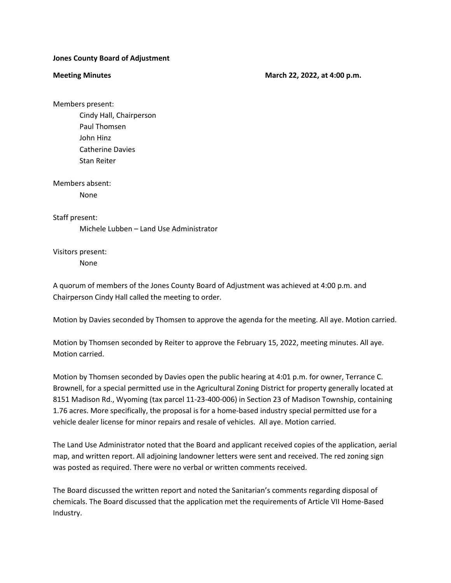## **Jones County Board of Adjustment**

## **Meeting Minutes March 22, 2022, at 4:00 p.m.** March 22, 2022, at 4:00 p.m.

Members present:

Cindy Hall, Chairperson Paul Thomsen John Hinz Catherine Davies Stan Reiter

Members absent:

None

Staff present:

Michele Lubben – Land Use Administrator

Visitors present: None

A quorum of members of the Jones County Board of Adjustment was achieved at 4:00 p.m. and Chairperson Cindy Hall called the meeting to order.

Motion by Davies seconded by Thomsen to approve the agenda for the meeting. All aye. Motion carried.

Motion by Thomsen seconded by Reiter to approve the February 15, 2022, meeting minutes. All aye. Motion carried.

Motion by Thomsen seconded by Davies open the public hearing at 4:01 p.m. for owner, Terrance C. Brownell, for a special permitted use in the Agricultural Zoning District for property generally located at 8151 Madison Rd., Wyoming (tax parcel 11-23-400-006) in Section 23 of Madison Township, containing 1.76 acres. More specifically, the proposal is for a home-based industry special permitted use for a vehicle dealer license for minor repairs and resale of vehicles. All aye. Motion carried.

The Land Use Administrator noted that the Board and applicant received copies of the application, aerial map, and written report. All adjoining landowner letters were sent and received. The red zoning sign was posted as required. There were no verbal or written comments received.

The Board discussed the written report and noted the Sanitarian's comments regarding disposal of chemicals. The Board discussed that the application met the requirements of Article VII Home-Based Industry.